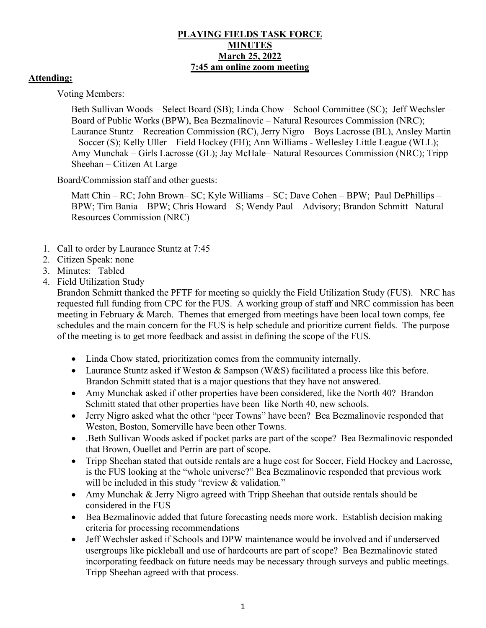## **PLAYING FIELDS TASK FORCE MINUTES March 25, 2022 7:45 am online zoom meeting**

## **Attending:**

Voting Members:

Beth Sullivan Woods – Select Board (SB); Linda Chow – School Committee (SC); Jeff Wechsler – Board of Public Works (BPW), Bea Bezmalinovic – Natural Resources Commission (NRC); Laurance Stuntz – Recreation Commission (RC), Jerry Nigro – Boys Lacrosse (BL), Ansley Martin – Soccer (S); Kelly Uller – Field Hockey (FH); Ann Williams - Wellesley Little League (WLL); Amy Munchak – Girls Lacrosse (GL); Jay McHale– Natural Resources Commission (NRC); Tripp Sheehan – Citizen At Large

Board/Commission staff and other guests:

Matt Chin – RC; John Brown– SC; Kyle Williams – SC; Dave Cohen – BPW; Paul DePhillips – BPW; Tim Bania – BPW; Chris Howard – S; Wendy Paul – Advisory; Brandon Schmitt– Natural Resources Commission (NRC)

- 1. Call to order by Laurance Stuntz at 7:45
- 2. Citizen Speak: none
- 3. Minutes: Tabled
- 4. Field Utilization Study

Brandon Schmitt thanked the PFTF for meeting so quickly the Field Utilization Study (FUS). NRC has requested full funding from CPC for the FUS. A working group of staff and NRC commission has been meeting in February & March. Themes that emerged from meetings have been local town comps, fee schedules and the main concern for the FUS is help schedule and prioritize current fields. The purpose of the meeting is to get more feedback and assist in defining the scope of the FUS.

- Linda Chow stated, prioritization comes from the community internally.
- Laurance Stuntz asked if Weston & Sampson (W&S) facilitated a process like this before. Brandon Schmitt stated that is a major questions that they have not answered.
- Amy Munchak asked if other properties have been considered, like the North 40? Brandon Schmitt stated that other properties have been like North 40, new schools.
- Jerry Nigro asked what the other "peer Towns" have been? Bea Bezmalinovic responded that Weston, Boston, Somerville have been other Towns.
- .Beth Sullivan Woods asked if pocket parks are part of the scope? Bea Bezmalinovic responded that Brown, Ouellet and Perrin are part of scope.
- Tripp Sheehan stated that outside rentals are a huge cost for Soccer, Field Hockey and Lacrosse, is the FUS looking at the "whole universe?" Bea Bezmalinovic responded that previous work will be included in this study "review & validation."
- Amy Munchak & Jerry Nigro agreed with Tripp Sheehan that outside rentals should be considered in the FUS
- Bea Bezmalinovic added that future forecasting needs more work. Establish decision making criteria for processing recommendations
- Jeff Wechsler asked if Schools and DPW maintenance would be involved and if underserved usergroups like pickleball and use of hardcourts are part of scope? Bea Bezmalinovic stated incorporating feedback on future needs may be necessary through surveys and public meetings. Tripp Sheehan agreed with that process.